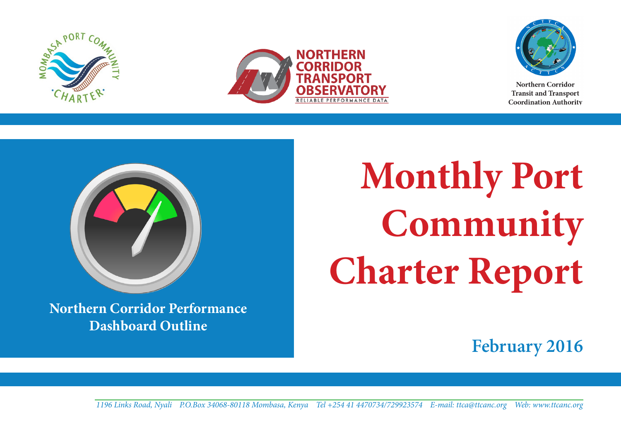





Northern Corridor **Transit and Transport Coordination Authority** 



**Northern Corridor Performance Dashboard Outline**

**Monthly Port Community Charter Report**

**February 2016**

**1** *1196 Links Road, Nyali P.O.Box 34068-80118 Mombasa, Kenya Tel +254 41 4470734/729923574 E-mail: ttca@ttcanc.org Web: www.ttcanc.org*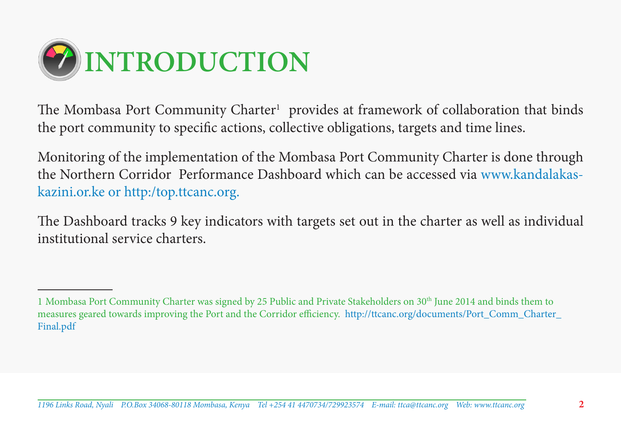

The Mombasa Port Community Charter<sup>1</sup> provides at framework of collaboration that binds the port community to specific actions, collective obligations, targets and time lines.

Monitoring of the implementation of the Mombasa Port Community Charter is done through the Northern Corridor Performance Dashboard which can be accessed via www.kandalakaskazini.or.ke or http:/top.ttcanc.org.

The Dashboard tracks 9 key indicators with targets set out in the charter as well as individual institutional service charters.

<sup>1</sup> Mombasa Port Community Charter was signed by 25 Public and Private Stakeholders on 30th June 2014 and binds them to measures geared towards improving the Port and the Corridor efficiency. http://ttcanc.org/documents/Port\_Comm\_Charter\_ Final.pdf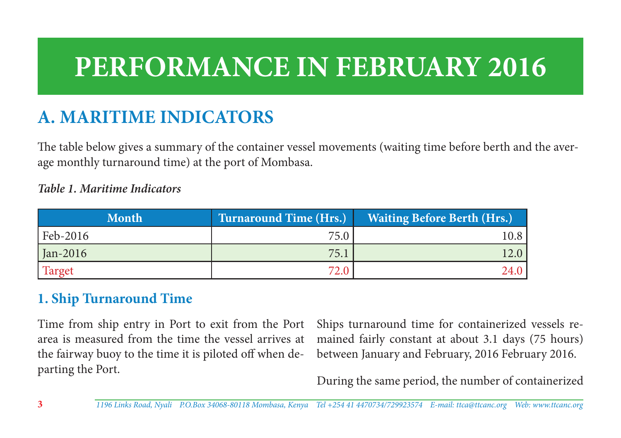# **PERFORMANCE IN FEBRUARY 2016**

# **A. MARITIME INDICATORS**

The table below gives a summary of the container vessel movements (waiting time before berth and the average monthly turnaround time) at the port of Mombasa.

#### *Table 1. Maritime Indicators*

| <b>Month</b> | <b>Turnaround Time (Hrs.)</b> | <b>Waiting Before Berth (Hrs.)</b> |
|--------------|-------------------------------|------------------------------------|
| Feb-2016     | 75.0                          | 10.8-                              |
| $jan-2016$   | 75.1                          | 12.0                               |
| Target       | 72.0                          | 24.0                               |

# **1. Ship Turnaround Time**

Time from ship entry in Port to exit from the Port area is measured from the time the vessel arrives at the fairway buoy to the time it is piloted off when departing the Port.

Ships turnaround time for containerized vessels remained fairly constant at about 3.1 days (75 hours) between January and February, 2016 February 2016.

During the same period, the number of containerized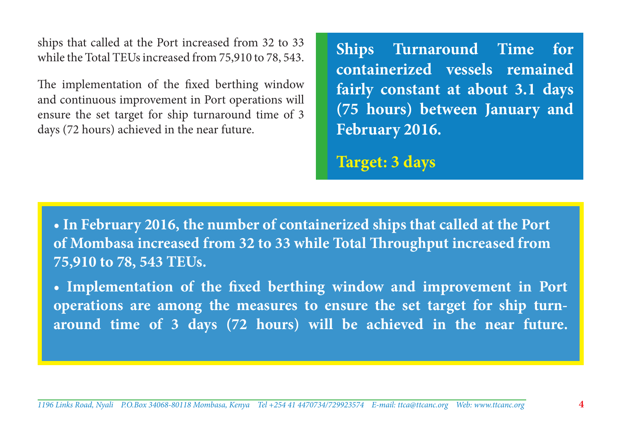ships that called at the Port increased from 32 to 33 while the Total TEUs increased from 75,910 to 78, 543.

The implementation of the fixed berthing window and continuous improvement in Port operations will ensure the set target for ship turnaround time of 3 days (72 hours) achieved in the near future.

**Ships Turnaround Time for containerized vessels remained fairly constant at about 3.1 days (75 hours) between January and February 2016.**

**Target: 3 days**

**• In February 2016, the number of containerized ships that called at the Port of Mombasa increased from 32 to 33 while Total Throughput increased from 75,910 to 78, 543 TEUs.**

**• Implementation of the fixed berthing window and improvement in Port operations are among the measures to ensure the set target for ship turnaround time of 3 days (72 hours) will be achieved in the near future.**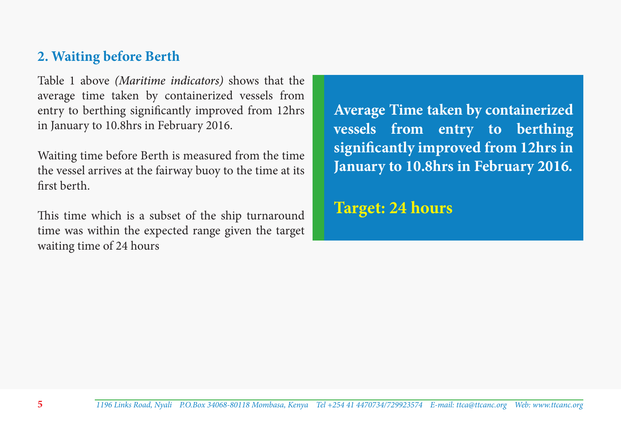#### **2. Waiting before Berth**

Table 1 above *(Maritime indicators)* shows that the average time taken by containerized vessels from entry to berthing significantly improved from 12hrs in January to 10.8hrs in February 2016.

Waiting time before Berth is measured from the time the vessel arrives at the fairway buoy to the time at its first berth.

This time which is a subset of the ship turnaround time was within the expected range given the target waiting time of 24 hours

**Average Time taken by containerized vessels from entry to berthing significantly improved from 12hrs in January to 10.8hrs in February 2016.** 

**Target: 24 hours**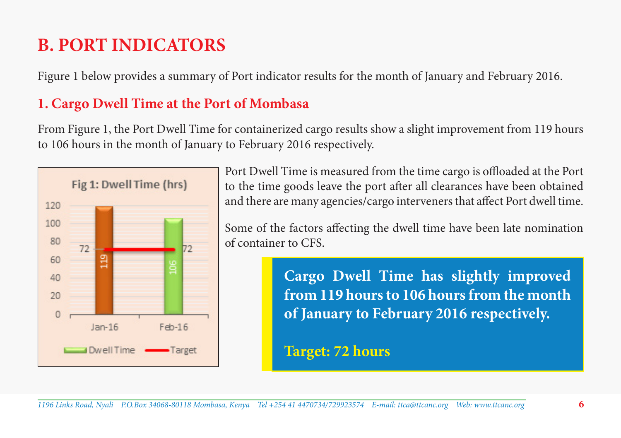# **B. PORT INDICATORS**

Figure 1 below provides a summary of Port indicator results for the month of January and February 2016.

# **1. Cargo Dwell Time at the Port of Mombasa**

From Figure 1, the Port Dwell Time for containerized cargo results show a slight improvement from 119 hours to 106 hours in the month of January to February 2016 respectively.



Port Dwell Time is measured from the time cargo is offloaded at the Port to the time goods leave the port after all clearances have been obtained and there are many agencies/cargo interveners that affect Port dwell time.

Some of the factors affecting the dwell time have been late nomination of container to CFS.

> **Cargo Dwell Time has slightly improved from 119 hours to 106 hours from the month of January to February 2016 respectively.**

**Target: 72 hours**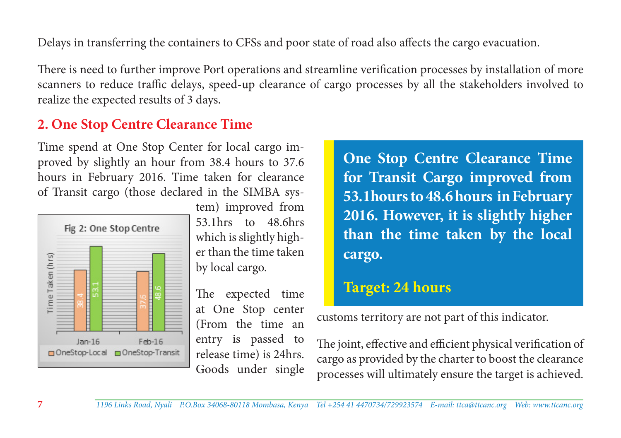Delays in transferring the containers to CFSs and poor state of road also affects the cargo evacuation.

There is need to further improve Port operations and streamline verification processes by installation of more scanners to reduce traffic delays, speed-up clearance of cargo processes by all the stakeholders involved to realize the expected results of 3 days.

# **2. One Stop Centre Clearance Time**

Time spend at One Stop Center for local cargo improved by slightly an hour from 38.4 hours to 37.6 hours in February 2016. Time taken for clearance of Transit cargo (those declared in the SIMBA sys-



tem) improved from 53.1hrs to 48.6hrs which is slightly higher than the time taken by local cargo.

The expected time at One Stop center (From the time an entry is passed to release time) is 24hrs. Goods under single

**One Stop Centre Clearance Time for Transit Cargo improved from 53.1hours to 48.6 hours in February 2016. However, it is slightly higher than the time taken by the local cargo.**

# **Target: 24 hours**

customs territory are not part of this indicator.

The joint, effective and efficient physical verification of cargo as provided by the charter to boost the clearance processes will ultimately ensure the target is achieved.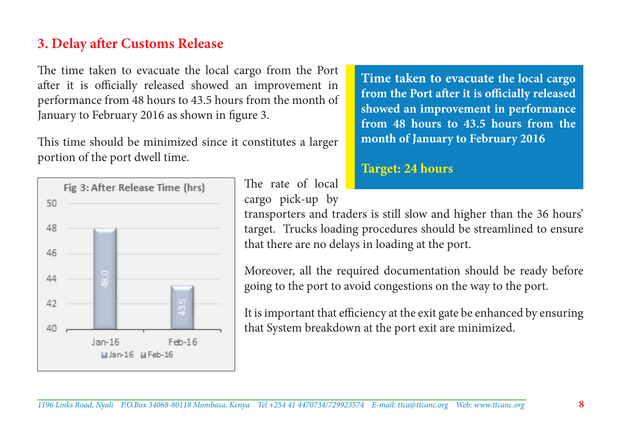#### **3. Delay after Customs Release**

The time taken to evacuate the local cargo from the Port after it is officially released showed an improvement in performance from 48 hours to 43.5 hours from the month of January to February 2016 as shown in figure 3.

This time should be minimized since it constitutes a larger portion of the port dwell time.



The rate of local cargo pick-up by

**Time taken to evacuate the local cargo from the Port after it is officially released showed an improvement in performance from 48 hours to 43.5 hours from the month of January to February 2016**

#### **Target: 24 hours**

transporters and traders is still slow and higher than the 36 hours' target. Trucks loading procedures should be streamlined to ensure that there are no delays in loading at the port.

Moreover, all the required documentation should be ready before going to the port to avoid congestions on the way to the port.

It is important that efficiency at the exit gate be enhanced by ensuring that System breakdown at the port exit are minimized.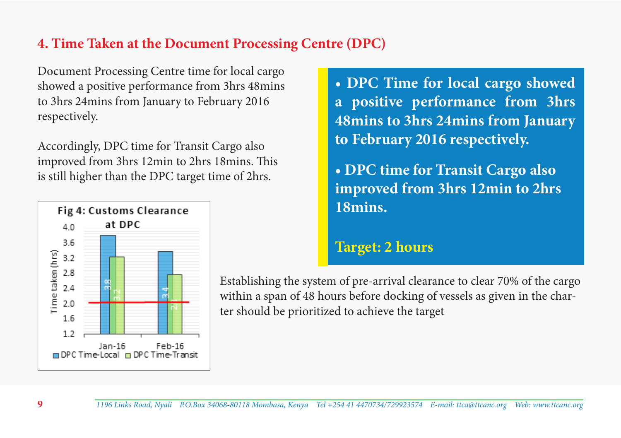## **4. Time Taken at the Document Processing Centre (DPC)**

Document Processing Centre time for local cargo showed a positive performance from 3hrs 48mins to 3hrs 24mins from January to February 2016 respectively.

Accordingly, DPC time for Transit Cargo also improved from 3hrs 12min to 2hrs 18mins. This is still higher than the DPC target time of 2hrs.



**• DPC Time for local cargo showed a positive performance from 3hrs 48mins to 3hrs 24mins from January to February 2016 respectively.** 

**• DPC time for Transit Cargo also improved from 3hrs 12min to 2hrs 18mins.**

#### **Target: 2 hours**

Establishing the system of pre-arrival clearance to clear 70% of the cargo within a span of 48 hours before docking of vessels as given in the charter should be prioritized to achieve the target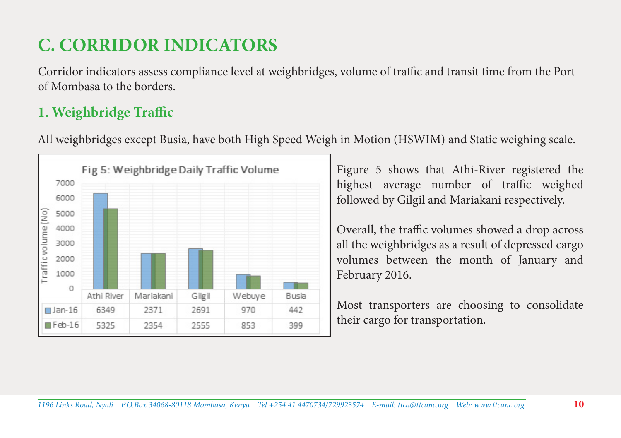# **C. CORRIDOR INDICATORS**

Corridor indicators assess compliance level at weighbridges, volume of traffic and transit time from the Port of Mombasa to the borders.

# **1. Weighbridge Traffic**

All weighbridges except Busia, have both High Speed Weigh in Motion (HSWIM) and Static weighing scale.



Figure 5 shows that Athi-River registered the highest average number of traffic weighed followed by Gilgil and Mariakani respectively.

Overall, the traffic volumes showed a drop across all the weighbridges as a result of depressed cargo volumes between the month of January and February 2016.

Most transporters are choosing to consolidate their cargo for transportation.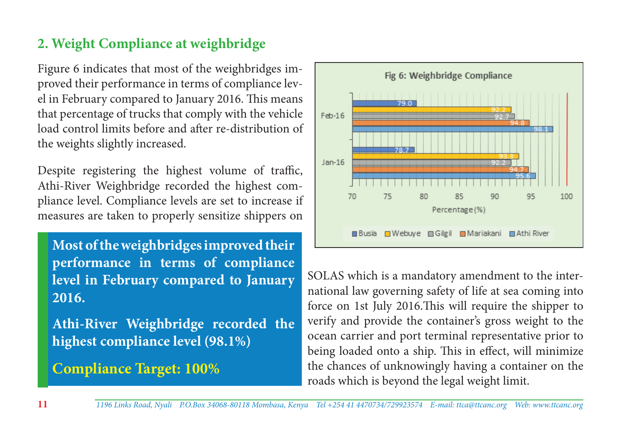# **2. Weight Compliance at weighbridge**

Figure 6 indicates that most of the weighbridges improved their performance in terms of compliance level in February compared to January 2016. This means that percentage of trucks that comply with the vehicle load control limits before and after re-distribution of the weights slightly increased.

Despite registering the highest volume of traffic, Athi-River Weighbridge recorded the highest compliance level. Compliance levels are set to increase if measures are taken to properly sensitize shippers on

**Most of the weighbridges improved their performance in terms of compliance level in February compared to January 2016.**

**Athi-River Weighbridge recorded the highest compliance level (98.1%)**

**Compliance Target: 100%**



SOLAS which is a mandatory amendment to the international law governing safety of life at sea coming into force on 1st July 2016.This will require the shipper to verify and provide the container's gross weight to the ocean carrier and port terminal representative prior to being loaded onto a ship. This in effect, will minimize the chances of unknowingly having a container on the roads which is beyond the legal weight limit.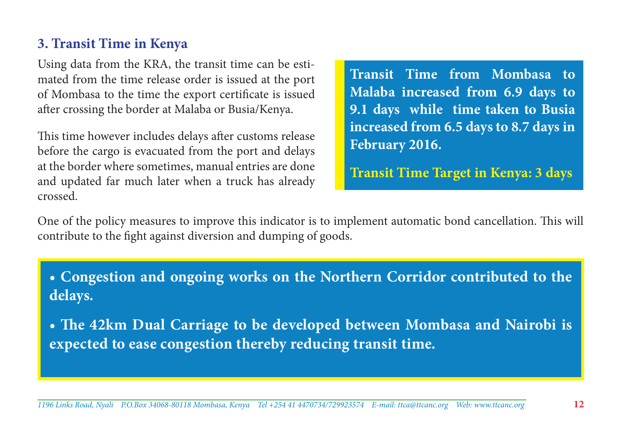#### **3. Transit Time in Kenya**

Using data from the KRA, the transit time can be estimated from the time release order is issued at the port of Mombasa to the time the export certificate is issued after crossing the border at Malaba or Busia/Kenya.

This time however includes delays after customs release before the cargo is evacuated from the port and delays at the border where sometimes, manual entries are done and updated far much later when a truck has already crossed.

**Transit Time from Mombasa to Malaba increased from 6.9 days to 9.1 days while time taken to Busia increased from 6.5 days to 8.7 days in February 2016.** 

**Transit Time Target in Kenya: 3 days**

One of the policy measures to improve this indicator is to implement automatic bond cancellation. This will contribute to the fight against diversion and dumping of goods.

**• Congestion and ongoing works on the Northern Corridor contributed to the delays.**

**• The 42km Dual Carriage to be developed between Mombasa and Nairobi is expected to ease congestion thereby reducing transit time.**